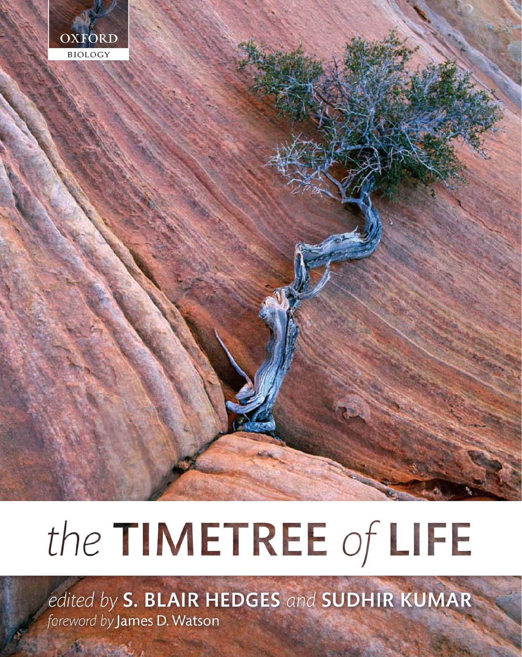

# the TIMETREE of LIFE

edited by S. BLAIR HEDGES and SUDHIR KUMAR foreword by James D. Watson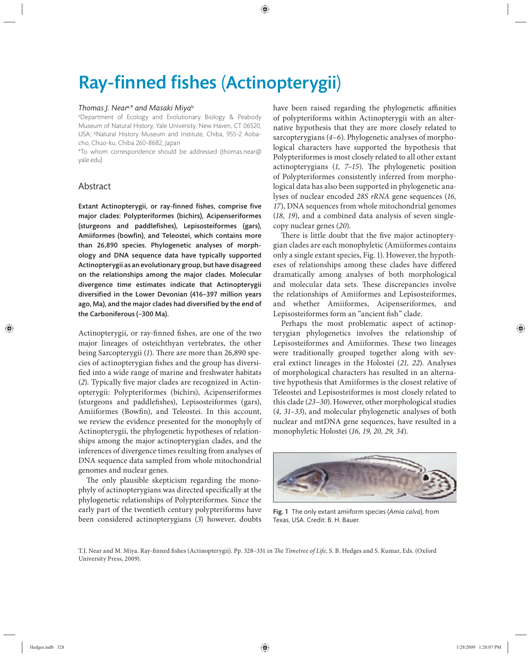# **Ray-finned fishes (Actinopterygii)**

#### *Thomas J. Near*a,*\* and Masaki Miya*<sup>b</sup>

a Department of Ecology and Evolutionary Biology & Peabody Museum of Natural History, Yale University, New Haven, CT 06520, USA; <sup>b</sup>Natural History Museum and Institute, Chiba, 955-2 Aobacho, Chuo-ku, Chiba 260-8682, Japan

\*To whom correspondence should be addressed (thomas.near@ yale.edu)

# Abstract

Extant Actinopterygii, or ray-finned fishes, comprise five major clades: Polypteriformes (bichirs), Acipenseriformes (sturgeons and paddlefishes), Lepisosteiformes (gars), Amiiformes (bowfin), and Teleostei, which contains more than 26,890 species. Phylogenetic analyses of morphology and DNA sequence data have typically supported Actinopterygii as an evolutionary group, but have disagreed on the relationships among the major clades. Molecular divergence time estimates indicate that Actinopterygii diversified in the Lower Devonian (416-397 million years ago, Ma), and the major clades had diversified by the end of the Carboniferous (~300 Ma).

Actinopterygii, or ray-finned fishes, are one of the two major lineages of osteichthyan vertebrates, the other being Sarcopterygii (1). There are more than 26,890 species of actinopterygian fishes and the group has diversified into a wide range of marine and freshwater habitats (2). Typically five major clades are recognized in Actinopterygii: Polypteriformes (bichirs), Acipenseriformes (sturgeons and paddlefishes), Lepisosteiformes (gars), Amiiformes (Bowfin), and Teleostei. In this account, we review the evidence presented for the monophyly of Actinopterygii, the phylogenetic hypotheses of relationships among the major actinopterygian clades, and the inferences of divergence times resulting from analyses of DNA sequence data sampled from whole mitochondrial genomes and nuclear genes.

The only plausible skepticism regarding the monophyly of actinopterygians was directed specifically at the phylogenetic relationships of Polypteriformes. Since the early part of the twentieth century polypteriforms have been considered actinopterygians (*3*) however, doubts have been raised regarding the phylogenetic affinities of polypteriforms within Actinopterygii with an alternative hypothesis that they are more closely related to sarcopterygians (*4–6*). Phylogenetic analyses of morphological characters have supported the hypothesis that Polypteriformes is most closely related to all other extant actinopterygians (1, 7–15). The phylogenetic position of Polypteriformes consistently inferred from morphological data has also been supported in phylogenetic analyses of nuclear encoded *28S rRNA* gene sequences (*16, 17*), DNA sequences from whole mitochondrial genomes (*18, 19*), and a combined data analysis of seven singlecopy nuclear genes (*20*).

There is little doubt that the five major actinopterygian clades are each monophyletic (Amiiformes contains only a single extant species, Fig. 1). However, the hypotheses of relationships among these clades have differed dramatically among analyses of both morphological and molecular data sets. These discrepancies involve the relationships of Amiiformes and Lepisosteiformes, and whether Amiiformes, Acipenseriformes, and Lepisosteiformes form an "ancient fish" clade.

Perhaps the most problematic aspect of actinopterygian phylogenetics involves the relationship of Lepisosteiformes and Amiiformes. These two lineages were traditionally grouped together along with several extinct lineages in the Holostei (*21, 22*). Analyses of morphological characters has resulted in an alternative hypothesis that Amiiformes is the closest relative of Teleostei and Lepisosteiformes is most closely related to this clade (*23–30*). However, other morphological studies (*4, 31–33*), and molecular phylogenetic analyses of both nuclear and mtDNA gene sequences, have resulted in a monophyletic Holostei (*16, 19, 20, 29, 34*).



Fig. 1 The only extant amiiform species (*Amia calva*), from Texas, USA. Credit: B. H. Bauer.

T.J. Near and M. Miya. Ray-finned fishes (Actinopterygii). Pp. 328-331 in *The Timetree of Life*, S. B. Hedges and S. Kumar, Eds. (Oxford University Press, 2009).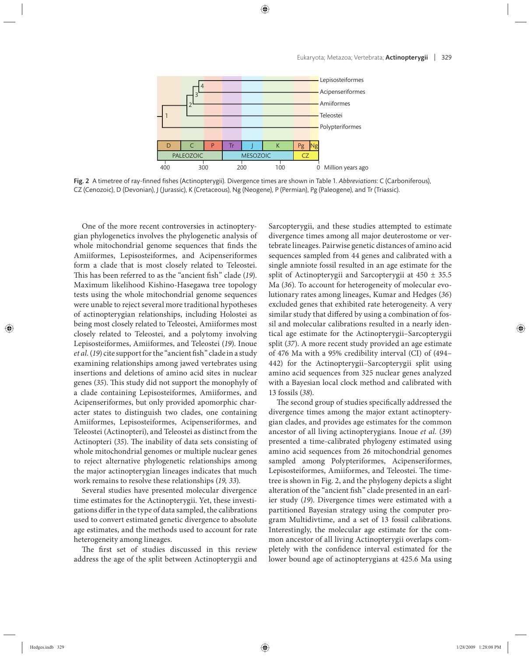

Fig. 2 A timetree of ray-finned fishes (Actinopterygii). Divergence times are shown in Table 1. Abbreviations: C (Carboniferous), CZ (Cenozoic), D (Devonian), J (Jurassic), K (Cretaceous), Ng (Neogene), P (Permian), Pg (Paleogene), and Tr (Triassic).

One of the more recent controversies in actinopterygian phylogenetics involves the phylogenetic analysis of whole mitochondrial genome sequences that finds the Amiiformes, Lepisosteiformes, and Acipenseriformes form a clade that is most closely related to Teleostei. This has been referred to as the "ancient fish" clade (19). Maximum likelihood Kishino-Hasegawa tree topology tests using the whole mitochondrial genome sequences were unable to reject several more traditional hypotheses of actinopterygian relationships, including Holostei as being most closely related to Teleostei, Amiiformes most closely related to Teleostei, and a polytomy involving Lepisosteiformes, Amiiformes, and Teleostei (*19*). Inoue *et al.* (19) cite support for the "ancient fish" clade in a study examining relationships among jawed vertebrates using insertions and deletions of amino acid sites in nuclear genes (35). This study did not support the monophyly of a clade containing Lepisosteiformes, Amiiformes, and Acipenseriformes, but only provided apomorphic character states to distinguish two clades, one containing Amiiformes, Lepisosteiformes, Acipenseriformes, and Teleostei (Actinopteri), and Teleostei as distinct from the Actinopteri (35). The inability of data sets consisting of whole mitochondrial genomes or multiple nuclear genes to reject alternative phylogenetic relationships among the major actinopterygian lineages indicates that much work remains to resolve these relationships (*19, 33*).

Several studies have presented molecular divergence time estimates for the Actinopterygii. Yet, these investigations differ in the type of data sampled, the calibrations used to convert estimated genetic divergence to absolute age estimates, and the methods used to account for rate heterogeneity among lineages.

The first set of studies discussed in this review address the age of the split between Actinopterygii and Sarcopterygii, and these studies attempted to estimate divergence times among all major deuterostome or vertebrate lineages. Pairwise genetic distances of amino acid sequences sampled from 44 genes and calibrated with a single amniote fossil resulted in an age estimate for the split of Actinopterygii and Sarcopterygii at  $450 \pm 35.5$ Ma (*36*). To account for heterogeneity of molecular evolutionary rates among lineages, Kumar and Hedges (*36*) excluded genes that exhibited rate heterogeneity. A very similar study that differed by using a combination of fossil and molecular calibrations resulted in a nearly identical age estimate for the Actinopterygii–Sarcopterygii split (*37*). A more recent study provided an age estimate of 476 Ma with a 95% credibility interval (CI) of (494– 442) for the Actinopterygii-Sarcopterygii split using amino acid sequences from 325 nuclear genes analyzed with a Bayesian local clock method and calibrated with 13 fossils (*38*).

The second group of studies specifically addressed the divergence times among the major extant actinopterygian clades, and provides age estimates for the common ancestor of all living actinopterygians. Inoue *et al.* (*39*) presented a time-calibrated phylogeny estimated using amino acid sequences from 26 mitochondrial genomes sampled among Polypteriformes, Acipenseriformes, Lepisosteiformes, Amiiformes, and Teleostei. The timetree is shown in Fig. 2, and the phylogeny depicts a slight alteration of the "ancient fish" clade presented in an earlier study (*19*). Divergence times were estimated with a partitioned Bayesian strategy using the computer program Multidivtime, and a set of 13 fossil calibrations. Interestingly, the molecular age estimate for the common ancestor of all living Actinopterygii overlaps completely with the confidence interval estimated for the lower bound age of actinopterygians at 425.6 Ma using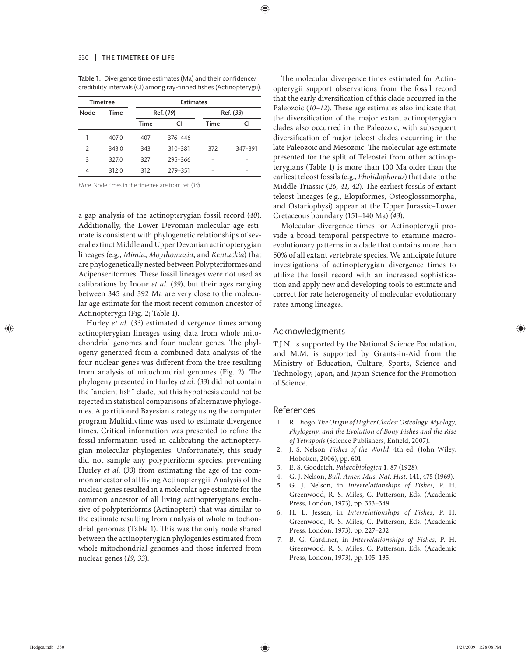Table 1. Divergence time estimates (Ma) and their confidence/ credibility intervals (CI) among ray-finned fishes (Actinopterygii).

| <b>Timetree</b> |             | <b>Estimates</b> |         |           |         |
|-----------------|-------------|------------------|---------|-----------|---------|
| Node            | <b>Time</b> | Ref. (19)        |         | Ref. (33) |         |
|                 |             | Time             | CI      | Time      | CI      |
| 1               | 407.0       | 407              | 376-446 |           |         |
| 2               | 343.0       | 343              | 310-381 | 372       | 347-391 |
| 3               | 327.0       | 327              | 295-366 |           |         |
| 4               | 312.0       | 312              | 279-351 |           |         |

Note: Node times in the timetree are from ref. (19).

a gap analysis of the actinopterygian fossil record (*40*). Additionally, the Lower Devonian molecular age estimate is consistent with phylogenetic relationships of several extinct Middle and Upper Devonian actinopterygian lineages (e.g., *Mimia*, *Moythomasia*, and *Kentuckia*) that are phylogenetically nested between Polypteriformes and Acipenseriformes. These fossil lineages were not used as calibrations by Inoue *et al.* (*39*), but their ages ranging between 345 and 392 Ma are very close to the molecular age estimate for the most recent common ancestor of Actinopterygii (Fig. 2; Table 1).

Hurley *et al.* (*33*) estimated divergence times among actinopterygian lineages using data from whole mitochondrial genomes and four nuclear genes. The phylogeny generated from a combined data analysis of the four nuclear genes was different from the tree resulting from analysis of mitochondrial genomes (Fig. 2). The phylogeny presented in Hurley *et al.* (*33*) did not contain the "ancient fish" clade, but this hypothesis could not be rejected in statistical comparisons of alternative phylogenies. A partitioned Bayesian strategy using the computer program Multidivtime was used to estimate divergence times. Critical information was presented to refine the fossil information used in calibrating the actinopterygian molecular phylogenies. Unfortunately, this study did not sample any polypteriform species, preventing Hurley *et al.* (*33*) from estimating the age of the common ancestor of all living Actinopterygii. Analysis of the nuclear genes resulted in a molecular age estimate for the common ancestor of all living actinopterygians exclusive of polypteriforms (Actinopteri) that was similar to the estimate resulting from analysis of whole mitochondrial genomes (Table 1). This was the only node shared between the actinopterygian phylogenies estimated from whole mitochondrial genomes and those inferred from nuclear genes (*19, 33*).

The molecular divergence times estimated for Actinopterygii support observations from the fossil record that the early diversification of this clade occurred in the Paleozoic (10-12). These age estimates also indicate that the diversification of the major extant actinopterygian clades also occurred in the Paleozoic, with subsequent diversification of major teleost clades occurring in the late Paleozoic and Mesozoic. The molecular age estimate presented for the split of Teleostei from other actinopterygians (Table 1) is more than 100 Ma older than the earliest teleost fossils (e.g., *Pholidophorus*) that date to the Middle Triassic (26, 41, 42). The earliest fossils of extant teleost lineages (e.g., Elopiformes, Osteoglossomorpha, and Ostariophysi) appear at the Upper Jurassic–Lower Cretaceous boundary (151–140 Ma) (*43*).

Molecular divergence times for Actinopterygii provide a broad temporal perspective to examine macroevolutionary patterns in a clade that contains more than 50% of all extant vertebrate species. We anticipate future investigations of actinopterygian divergence times to utilize the fossil record with an increased sophistication and apply new and developing tools to estimate and correct for rate heterogeneity of molecular evolutionary rates among lineages.

## Acknowledgments

T.J.N. is supported by the National Science Foundation, and M.M. is supported by Grants-in-Aid from the Ministry of Education, Culture, Sports, Science and Technology, Japan, and Japan Science for the Promotion of Science.

### References

- 1. R. Diogo, *The Origin of Higher Clades: Osteology, Myology, Phylogeny, and the Evolution of Bony Fishes and the Rise of Tetrapods* (Science Publishers, Enfield, 2007).
- 2. J. S. Nelson, *Fishes of the World*, 4th ed. (John Wiley, Hoboken, 2006), pp. 601.
- 3. E. S. Goodrich, *Palaeobiologica* **1**, 87 (1928).
- 4. G. J. Nelson, *Bull. Amer. Mus. Nat. Hist.* **141**, 475 (1969).
- 5. G. J. Nelson, in *Interrelationships of Fishes*, P. H. Greenwood, R. S. Miles, C. Patterson, Eds. (Academic Press, London, 1973), pp. 333–349.
- 6. H. L. Jessen, in *Interrelationships of Fishes*, P. H. Greenwood, R. S. Miles, C. Patterson, Eds. (Academic Press, London, 1973), pp. 227–232.
- 7. B. G. Gardiner, in *Interrelationships of Fishes*, P. H. Greenwood, R. S. Miles, C. Patterson, Eds. (Academic Press, London, 1973), pp. 105–135.